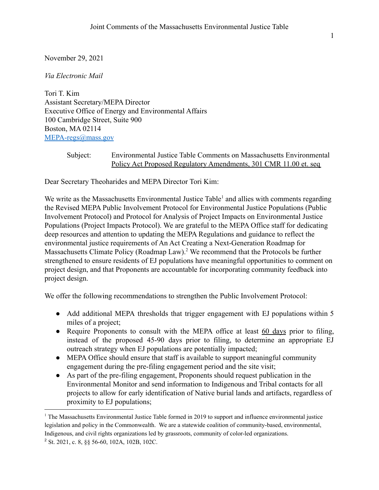November 29, 2021

*Via Electronic Mail*

Tori T. Kim Assistant Secretary/MEPA Director Executive Office of Energy and Environmental Affairs 100 Cambridge Street, Suite 900 Boston, MA 02114 [MEPA-regs@mass.gov](mailto:MEPA-regs@mass.gov)

## Subject: Environmental Justice Table Comments on Massachusetts Environmental Policy Act Proposed Regulatory Amendments, 301 CMR 11.00 et. seq

Dear Secretary Theoharides and MEPA Director Tori Kim:

We write as the Massachusetts Environmental Justice Table<sup>1</sup> and allies with comments regarding the Revised MEPA Public Involvement Protocol for Environmental Justice Populations (Public Involvement Protocol) and Protocol for Analysis of Project Impacts on Environmental Justice Populations (Project Impacts Protocol). We are grateful to the MEPA Office staff for dedicating deep resources and attention to updating the MEPA Regulations and guidance to reflect the environmental justice requirements of An Act Creating a Next-Generation Roadmap for Massachusetts Climate Policy (Roadmap Law).<sup>2</sup> We recommend that the Protocols be further strengthened to ensure residents of EJ populations have meaningful opportunities to comment on project design, and that Proponents are accountable for incorporating community feedback into project design.

We offer the following recommendations to strengthen the Public Involvement Protocol:

- Add additional MEPA thresholds that trigger engagement with EJ populations within 5 miles of a project;
- Require Proponents to consult with the MEPA office at least 60 days prior to filing, instead of the proposed 45-90 days prior to filing, to determine an appropriate EJ outreach strategy when EJ populations are potentially impacted;
- MEPA Office should ensure that staff is available to support meaningful community engagement during the pre-filing engagement period and the site visit;
- As part of the pre-filing engagement, Proponents should request publication in the Environmental Monitor and send information to Indigenous and Tribal contacts for all projects to allow for early identification of Native burial lands and artifacts, regardless of proximity to EJ populations;

<sup>&</sup>lt;sup>1</sup> The Massachusetts Environmental Justice Table formed in 2019 to support and influence environmental justice legislation and policy in the Commonwealth. We are a statewide coalition of community-based, environmental, Indigenous, and civil rights organizations led by grassroots, community of color-led organizations.

<sup>2</sup> St. 2021, c. 8, §§ 56-60, 102A, 102B, 102C.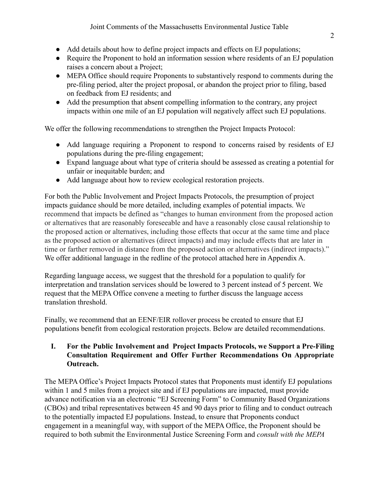- Add details about how to define project impacts and effects on EJ populations;
- Require the Proponent to hold an information session where residents of an EJ population raises a concern about a Project;
- MEPA Office should require Proponents to substantively respond to comments during the pre-filing period, alter the project proposal, or abandon the project prior to filing, based on feedback from EJ residents; and
- Add the presumption that absent compelling information to the contrary, any project impacts within one mile of an EJ population will negatively affect such EJ populations.

We offer the following recommendations to strengthen the Project Impacts Protocol:

- Add language requiring a Proponent to respond to concerns raised by residents of EJ populations during the pre-filing engagement;
- Expand language about what type of criteria should be assessed as creating a potential for unfair or inequitable burden; and
- Add language about how to review ecological restoration projects.

For both the Public Involvement and Project Impacts Protocols, the presumption of project impacts guidance should be more detailed, including examples of potential impacts. We recommend that impacts be defined as "changes to human environment from the proposed action or alternatives that are reasonably foreseeable and have a reasonably close causal relationship to the proposed action or alternatives, including those effects that occur at the same time and place as the proposed action or alternatives (direct impacts) and may include effects that are later in time or farther removed in distance from the proposed action or alternatives (indirect impacts)." We offer additional language in the redline of the protocol attached here in Appendix A.

Regarding language access, we suggest that the threshold for a population to qualify for interpretation and translation services should be lowered to 3 percent instead of 5 percent. We request that the MEPA Office convene a meeting to further discuss the language access translation threshold.

Finally, we recommend that an EENF/EIR rollover process be created to ensure that EJ populations benefit from ecological restoration projects. Below are detailed recommendations.

## **I. For the Public Involvement and Project Impacts Protocols, we Support a Pre-Filing Consultation Requirement and Offer Further Recommendations On Appropriate Outreach.**

The MEPA Office's Project Impacts Protocol states that Proponents must identify EJ populations within 1 and 5 miles from a project site and if EJ populations are impacted, must provide advance notification via an electronic "EJ Screening Form" to Community Based Organizations (CBOs) and tribal representatives between 45 and 90 days prior to filing and to conduct outreach to the potentially impacted EJ populations. Instead, to ensure that Proponents conduct engagement in a meaningful way, with support of the MEPA Office, the Proponent should be required to both submit the Environmental Justice Screening Form and *consult with the MEPA*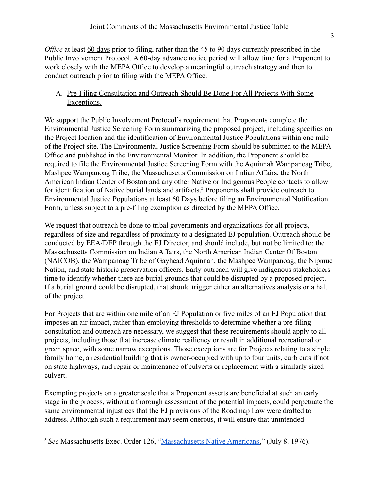*Office* at least <u>60 days</u> prior to filing, rather than the 45 to 90 days currently prescribed in the Public Involvement Protocol. A 60-day advance notice period will allow time for a Proponent to work closely with the MEPA Office to develop a meaningful outreach strategy and then to conduct outreach prior to filing with the MEPA Office.

## A. Pre-Filing Consultation and Outreach Should Be Done For All Projects With Some Exceptions.

We support the Public Involvement Protocol's requirement that Proponents complete the Environmental Justice Screening Form summarizing the proposed project, including specifics on the Project location and the identification of Environmental Justice Populations within one mile of the Project site. The Environmental Justice Screening Form should be submitted to the MEPA Office and published in the Environmental Monitor. In addition, the Proponent should be required to file the Environmental Justice Screening Form with the Aquinnah Wampanoag Tribe, Mashpee Wampanoag Tribe, the Massachusetts Commission on Indian Affairs, the North American Indian Center of Boston and any other Native or Indigenous People contacts to allow for identification of Native burial lands and artifacts.<sup>3</sup> Proponents shall provide outreach to Environmental Justice Populations at least 60 Days before filing an Environmental Notification Form, unless subject to a pre-filing exemption as directed by the MEPA Office.

We request that outreach be done to tribal governments and organizations for all projects, regardless of size and regardless of proximity to a designated EJ population. Outreach should be conducted by EEA/DEP through the EJ Director, and should include, but not be limited to: the Massachusetts Commission on Indian Affairs, the North American Indian Center Of Boston (NAICOB), the Wampanoag Tribe of Gayhead Aquinnah, the Mashpee Wampanoag, the Nipmuc Nation, and state historic preservation officers. Early outreach will give indigenous stakeholders time to identify whether there are burial grounds that could be disrupted by a proposed project. If a burial ground could be disrupted, that should trigger either an alternatives analysis or a halt of the project.

For Projects that are within one mile of an EJ Population or five miles of an EJ Population that imposes an air impact, rather than employing thresholds to determine whether a pre-filing consultation and outreach are necessary, we suggest that these requirements should apply to all projects, including those that increase climate resiliency or result in additional recreational or green space, with some narrow exceptions. Those exceptions are for Projects relating to a single family home, a residential building that is owner-occupied with up to four units, curb cuts if not on state highways, and repair or maintenance of culverts or replacement with a similarly sized culvert.

Exempting projects on a greater scale that a Proponent asserts are beneficial at such an early stage in the process, without a thorough assessment of the potential impacts, could perpetuate the same environmental injustices that the EJ provisions of the Roadmap Law were drafted to address. Although such a requirement may seem onerous, it will ensure that unintended

<sup>3</sup> *See* Massachusetts Exec. Order 126, "Massachusetts [Native Americans,](https://www.mass.gov/executive-orders/no-126-massachusetts-native-americans)" (July 8, 1976).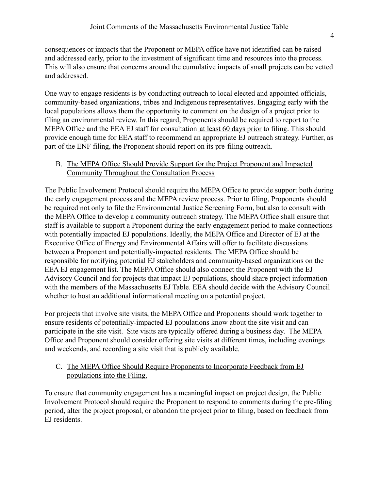consequences or impacts that the Proponent or MEPA office have not identified can be raised and addressed early, prior to the investment of significant time and resources into the process. This will also ensure that concerns around the cumulative impacts of small projects can be vetted and addressed.

One way to engage residents is by conducting outreach to local elected and appointed officials, community-based organizations, tribes and Indigenous representatives. Engaging early with the local populations allows them the opportunity to comment on the design of a project prior to filing an environmental review. In this regard, Proponents should be required to report to the MEPA Office and the EEA EJ staff for consultation at least 60 days prior to filing. This should provide enough time for EEA staff to recommend an appropriate EJ outreach strategy. Further, as part of the ENF filing, the Proponent should report on its pre-filing outreach.

### B. The MEPA Office Should Provide Support for the Project Proponent and Impacted Community Throughout the Consultation Process

The Public Involvement Protocol should require the MEPA Office to provide support both during the early engagement process and the MEPA review process. Prior to filing, Proponents should be required not only to file the Environmental Justice Screening Form, but also to consult with the MEPA Office to develop a community outreach strategy. The MEPA Office shall ensure that staff is available to support a Proponent during the early engagement period to make connections with potentially impacted EJ populations. Ideally, the MEPA Office and Director of EJ at the Executive Office of Energy and Environmental Affairs will offer to facilitate discussions between a Proponent and potentially-impacted residents. The MEPA Office should be responsible for notifying potential EJ stakeholders and community-based organizations on the EEA EJ engagement list. The MEPA Office should also connect the Proponent with the EJ Advisory Council and for projects that impact EJ populations, should share project information with the members of the Massachusetts EJ Table. EEA should decide with the Advisory Council whether to host an additional informational meeting on a potential project.

For projects that involve site visits, the MEPA Office and Proponents should work together to ensure residents of potentially-impacted EJ populations know about the site visit and can participate in the site visit. Site visits are typically offered during a business day. The MEPA Office and Proponent should consider offering site visits at different times, including evenings and weekends, and recording a site visit that is publicly available.

## C. The MEPA Office Should Require Proponents to Incorporate Feedback from EJ populations into the Filing.

To ensure that community engagement has a meaningful impact on project design, the Public Involvement Protocol should require the Proponent to respond to comments during the pre-filing period, alter the project proposal, or abandon the project prior to filing, based on feedback from EJ residents.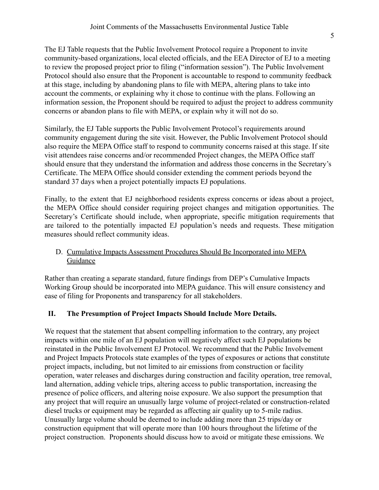The EJ Table requests that the Public Involvement Protocol require a Proponent to invite community-based organizations, local elected officials, and the EEA Director of EJ to a meeting to review the proposed project prior to filing ("information session"). The Public Involvement Protocol should also ensure that the Proponent is accountable to respond to community feedback at this stage, including by abandoning plans to file with MEPA, altering plans to take into account the comments, or explaining why it chose to continue with the plans. Following an information session, the Proponent should be required to adjust the project to address community concerns or abandon plans to file with MEPA, or explain why it will not do so.

Similarly, the EJ Table supports the Public Involvement Protocol's requirements around community engagement during the site visit. However, the Public Involvement Protocol should also require the MEPA Office staff to respond to community concerns raised at this stage. If site visit attendees raise concerns and/or recommended Project changes, the MEPA Office staff should ensure that they understand the information and address those concerns in the Secretary's Certificate. The MEPA Office should consider extending the comment periods beyond the standard 37 days when a project potentially impacts EJ populations.

Finally, to the extent that EJ neighborhood residents express concerns or ideas about a project, the MEPA Office should consider requiring project changes and mitigation opportunities. The Secretary's Certificate should include, when appropriate, specific mitigation requirements that are tailored to the potentially impacted EJ population's needs and requests. These mitigation measures should reflect community ideas.

#### D. Cumulative Impacts Assessment Procedures Should Be Incorporated into MEPA Guidance

Rather than creating a separate standard, future findings from DEP's Cumulative Impacts Working Group should be incorporated into MEPA guidance. This will ensure consistency and ease of filing for Proponents and transparency for all stakeholders.

# **II. The Presumption of Project Impacts Should Include More Details.**

We request that the statement that absent compelling information to the contrary, any project impacts within one mile of an EJ population will negatively affect such EJ populations be reinstated in the Public Involvement EJ Protocol. We recommend that the Public Involvement and Project Impacts Protocols state examples of the types of exposures or actions that constitute project impacts, including, but not limited to air emissions from construction or facility operation, water releases and discharges during construction and facility operation, tree removal, land alternation, adding vehicle trips, altering access to public transportation, increasing the presence of police officers, and altering noise exposure. We also support the presumption that any project that will require an unusually large volume of project-related or construction-related diesel trucks or equipment may be regarded as affecting air quality up to 5-mile radius. Unusually large volume should be deemed to include adding more than 25 trips/day or construction equipment that will operate more than 100 hours throughout the lifetime of the project construction. Proponents should discuss how to avoid or mitigate these emissions. We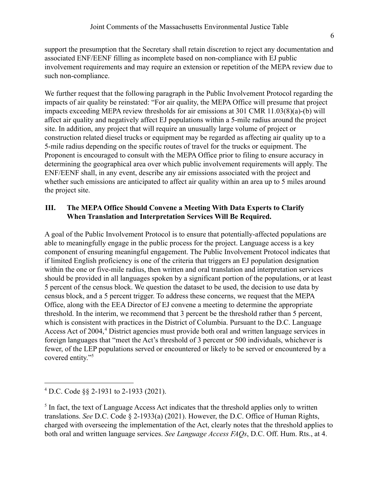support the presumption that the Secretary shall retain discretion to reject any documentation and associated ENF/EENF filling as incomplete based on non-compliance with EJ public involvement requirements and may require an extension or repetition of the MEPA review due to such non-compliance.

We further request that the following paragraph in the Public Involvement Protocol regarding the impacts of air quality be reinstated: "For air quality, the MEPA Office will presume that project impacts exceeding MEPA review thresholds for air emissions at 301 CMR 11.03(8)(a)-(b) will affect air quality and negatively affect EJ populations within a 5-mile radius around the project site. In addition, any project that will require an unusually large volume of project or construction related diesel trucks or equipment may be regarded as affecting air quality up to a 5-mile radius depending on the specific routes of travel for the trucks or equipment. The Proponent is encouraged to consult with the MEPA Office prior to filing to ensure accuracy in determining the geographical area over which public involvement requirements will apply. The ENF/EENF shall, in any event, describe any air emissions associated with the project and whether such emissions are anticipated to affect air quality within an area up to 5 miles around the project site.

## **III. The MEPA Office Should Convene a Meeting With Data Experts to Clarify When Translation and Interpretation Services Will Be Required.**

A goal of the Public Involvement Protocol is to ensure that potentially-affected populations are able to meaningfully engage in the public process for the project. Language access is a key component of ensuring meaningful engagement. The Public Involvement Protocol indicates that if limited English proficiency is one of the criteria that triggers an EJ population designation within the one or five-mile radius, then written and oral translation and interpretation services should be provided in all languages spoken by a significant portion of the populations, or at least 5 percent of the census block. We question the dataset to be used, the decision to use data by census block, and a 5 percent trigger. To address these concerns, we request that the MEPA Office, along with the EEA Director of EJ convene a meeting to determine the appropriate threshold. In the interim, we recommend that 3 percent be the threshold rather than 5 percent, which is consistent with practices in the District of Columbia. Pursuant to the D.C. Language Access Act of 2004,<sup>4</sup> District agencies must provide both oral and written language services in foreign languages that "meet the Act's threshold of 3 percent or 500 individuals, whichever is fewer, of the LEP populations served or encountered or likely to be served or encountered by a covered entity."<sup>5</sup>

<sup>4</sup> D.C. Code §§ 2-1931 to 2-1933 (2021).

 $<sup>5</sup>$  In fact, the text of Language Access Act indicates that the threshold applies only to written</sup> translations. *See* D.C. Code § 2-1933(a) (2021). However, the D.C. Office of Human Rights, charged with overseeing the implementation of the Act, clearly notes that the threshold applies to both oral and written language services. *See Language Access FAQs*, D.C. Off. Hum. Rts., at 4.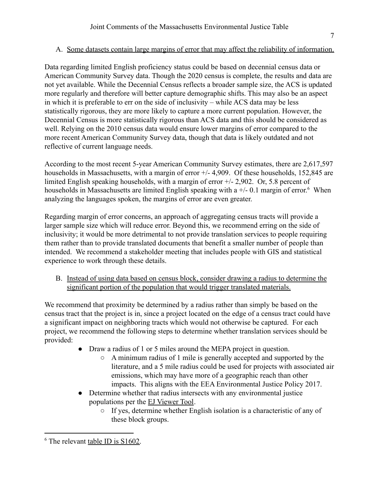# A. Some datasets contain large margins of error that may affect the reliability of information.

Data regarding limited English proficiency status could be based on decennial census data or American Community Survey data. Though the 2020 census is complete, the results and data are not yet available. While the Decennial Census reflects a broader sample size, the ACS is updated more regularly and therefore will better capture demographic shifts. This may also be an aspect in which it is preferable to err on the side of inclusivity – while ACS data may be less statistically rigorous, they are more likely to capture a more current population. However, the Decennial Census is more statistically rigorous than ACS data and this should be considered as well. Relying on the 2010 census data would ensure lower margins of error compared to the more recent American Community Survey data, though that data is likely outdated and not reflective of current language needs.

According to the most recent 5-year American Community Survey estimates, there are 2,617,597 households in Massachusetts, with a margin of error  $+/$ -4,909. Of these households, 152,845 are limited English speaking households, with a margin of error +/- 2,902. Or, 5.8 percent of households in Massachusetts are limited English speaking with a  $+/-0.1$  margin of error.<sup>6</sup> When analyzing the languages spoken, the margins of error are even greater.

Regarding margin of error concerns, an approach of aggregating census tracts will provide a larger sample size which will reduce error. Beyond this, we recommend erring on the side of inclusivity; it would be more detrimental to not provide translation services to people requiring them rather than to provide translated documents that benefit a smaller number of people than intended. We recommend a stakeholder meeting that includes people with GIS and statistical experience to work through these details.

B. Instead of using data based on census block, consider drawing a radius to determine the significant portion of the population that would trigger translated materials.

We recommend that proximity be determined by a radius rather than simply be based on the census tract that the project is in, since a project located on the edge of a census tract could have a significant impact on neighboring tracts which would not otherwise be captured. For each project, we recommend the following steps to determine whether translation services should be provided:

- Draw a radius of 1 or 5 miles around the MEPA project in question.
	- A minimum radius of 1 mile is generally accepted and supported by the literature, and a 5 mile radius could be used for projects with associated air emissions, which may have more of a geographic reach than other impacts. This aligns with the EEA Environmental Justice Policy 2017.
- Determine whether that radius intersects with any environmental justice populations per the [EJ Viewer Tool](https://mass-eoeea.maps.arcgis.com/apps/webappviewer/index.html?id=1d6f63e7762a48e5930de84ed4849212).
	- If yes, determine whether English isolation is a characteristic of any of these block groups.

<sup>&</sup>lt;sup>6</sup> The relevant [table ID is S1602.](https://data.census.gov/cedsci/table?text=english&t=Language%20Spoken%20at%20Home&g=0400000US25&tid=ACSST5Y2019.S1602&hidePreview=true)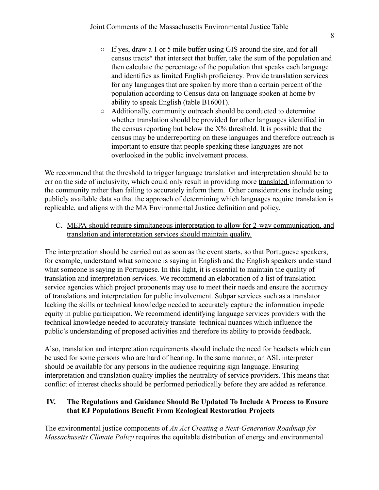- If yes, draw a 1 or 5 mile buffer using GIS around the site, and for all census tracts\* that intersect that buffer, take the sum of the population and then calculate the percentage of the population that speaks each language and identifies as limited English proficiency. Provide translation services for any languages that are spoken by more than a certain percent of the population according to Census data on language spoken at home by ability to speak English (table B16001).
- Additionally, community outreach should be conducted to determine whether translation should be provided for other languages identified in the census reporting but below the  $X\%$  threshold. It is possible that the census may be underreporting on these languages and therefore outreach is important to ensure that people speaking these languages are not overlooked in the public involvement process.

We recommend that the threshold to trigger language translation and interpretation should be to err on the side of inclusivity, which could only result in providing more translated information to the community rather than failing to accurately inform them. Other considerations include using publicly available data so that the approach of determining which languages require translation is replicable, and aligns with the MA Environmental Justice definition and policy.

C. MEPA should require simultaneous interpretation to allow for 2-way communication, and translation and interpretation services should maintain quality.

The interpretation should be carried out as soon as the event starts, so that Portuguese speakers, for example, understand what someone is saying in English and the English speakers understand what someone is saying in Portuguese. In this light, it is essential to maintain the quality of translation and interpretation services. We recommend an elaboration of a list of translation service agencies which project proponents may use to meet their needs and ensure the accuracy of translations and interpretation for public involvement. Subpar services such as a translator lacking the skills or technical knowledge needed to accurately capture the information impede equity in public participation. We recommend identifying language services providers with the technical knowledge needed to accurately translate technical nuances which influence the public's understanding of proposed activities and therefore its ability to provide feedback.

Also, translation and interpretation requirements should include the need for headsets which can be used for some persons who are hard of hearing. In the same manner, an ASL interpreter should be available for any persons in the audience requiring sign language. Ensuring interpretation and translation quality implies the neutrality of service providers. This means that conflict of interest checks should be performed periodically before they are added as reference.

## **IV. The Regulations and Guidance Should Be Updated To Include A Process to Ensure that EJ Populations Benefit From Ecological Restoration Projects**

The environmental justice components of *An Act Creating a Next-Generation Roadmap for Massachusetts Climate Policy* requires the equitable distribution of energy and environmental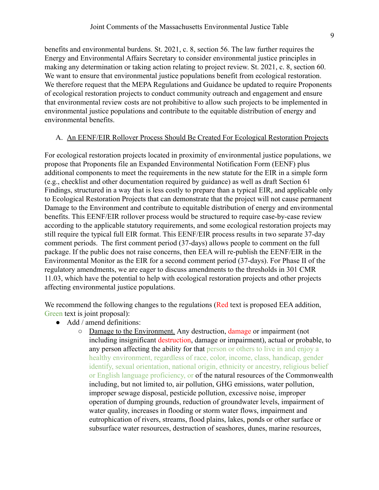benefits and environmental burdens. St. 2021, c. 8, section 56. The law further requires the Energy and Environmental Affairs Secretary to consider environmental justice principles in making any determination or taking action relating to project review. St. 2021, c. 8, section 60. We want to ensure that environmental justice populations benefit from ecological restoration. We therefore request that the MEPA Regulations and Guidance be updated to require Proponents of ecological restoration projects to conduct community outreach and engagement and ensure that environmental review costs are not prohibitive to allow such projects to be implemented in environmental justice populations and contribute to the equitable distribution of energy and environmental benefits.

#### A. An EENF/EIR Rollover Process Should Be Created For Ecological Restoration Projects

For ecological restoration projects located in proximity of environmental justice populations, we propose that Proponents file an Expanded Environmental Notification Form (EENF) plus additional components to meet the requirements in the new statute for the EIR in a simple form (e.g., checklist and other documentation required by guidance) as well as draft Section 61 Findings, structured in a way that is less costly to prepare than a typical EIR, and applicable only to Ecological Restoration Projects that can demonstrate that the project will not cause permanent Damage to the Environment and contribute to equitable distribution of energy and environmental benefits. This EENF/EIR rollover process would be structured to require case-by-case review according to the applicable statutory requirements, and some ecological restoration projects may still require the typical full EIR format. This EENF/EIR process results in two separate 37-day comment periods. The first comment period (37-days) allows people to comment on the full package. If the public does not raise concerns, then EEA will re-publish the EENF/EIR in the Environmental Monitor as the EIR for a second comment period (37-days). For Phase II of the regulatory amendments, we are eager to discuss amendments to the thresholds in 301 CMR 11.03, which have the potential to help with ecological restoration projects and other projects affecting environmental justice populations.

We recommend the following changes to the regulations (Red text is proposed EEA addition, Green text is joint proposal):

- Add / amend definitions:
	- Damage to the Environment. Any destruction, damage or impairment (not including insignificant destruction, damage or impairment), actual or probable, to any person affecting the ability for that person or others to live in and enjoy a healthy environment, regardless of race, color, income, class, handicap, gender identify, sexual orientation, national origin, ethnicity or ancestry, religious belief or English language proficiency, or of the natural resources of the Commonwealth including, but not limited to, air pollution, GHG emissions, water pollution, improper sewage disposal, pesticide pollution, excessive noise, improper operation of dumping grounds, reduction of groundwater levels, impairment of water quality, increases in flooding or storm water flows, impairment and eutrophication of rivers, streams, flood plains, lakes, ponds or other surface or subsurface water resources, destruction of seashores, dunes, marine resources,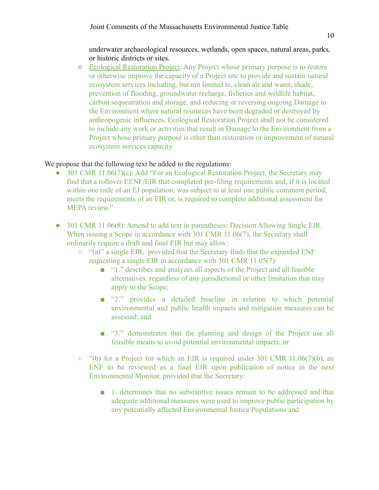underwater archaeological resources, wetlands, open spaces, natural areas, parks, or historic districts or sites.

○ Ecological Restoration Project: Any Project whose primary purpose is to restore or otherwise improve the capacity of a Project site to provide and sustain natural ecosystem services including, but not limited to, clean air and water, shade, prevention of flooding, groundwater recharge, fisheries and wildlife habitat, carbon sequestration and storage, and reducing or reversing ongoing Damage to the Environment where natural resources have been degraded or destroyed by anthropogenic influences. Ecological Restoration Project shall not be considered to include any work or activities that result in Damage to the Environment from a Project whose primary purpose is other than restoration or improvement of natural ecosystem services capacity.

We propose that the following text be added to the regulations:

- 301 CMR 11.06(7)(c): Add "For an Ecological Restoration Project, the Secretary may find that a rollover EENF/EIR that completed pre-filing requirements and, if it is located within one mile of an EJ population, was subject to at least one public comment period, meets the requirements of an EIR or, is required to complete additional assessment for MEPA review."
- 301 CMR 11.06(8): Amend to add text in parentheses: Decision Allowing Single EIR. When issuing a Scope in accordance with 301 CMR 11.06(7), the Secretary shall ordinarily require a draft and final EIR but may allow:
	- "(a)" a single EIR, provided that the Secretary finds that the expanded ENF requesting a single EIR in accordance with 301 CMR 11.05(7):
		- "1." describes and analyzes all aspects of the Project and all feasible alternatives, regardless of any jurisdictional or other limitation that may apply to the Scope;
		- "2." provides a detailed baseline in relation to which potential environmental and public health impacts and mitigation measures can be assessed; and
		- "3." demonstrates that the planning and design of the Project use all feasible means to avoid potential environmental impacts; or
	- $\circ$  "(b) for a Project for which an EIR is required under 301 CMR 11.06(7)(b), an ENF to be reviewed as a final EIR upon publication of notice in the next Environmental Monitor, provided that the Secretary:
		- 1. determines that no substantive issues remain to be addressed and that adequate additional measures were used to improve public participation by any potentially affected Environmental Justice Populations and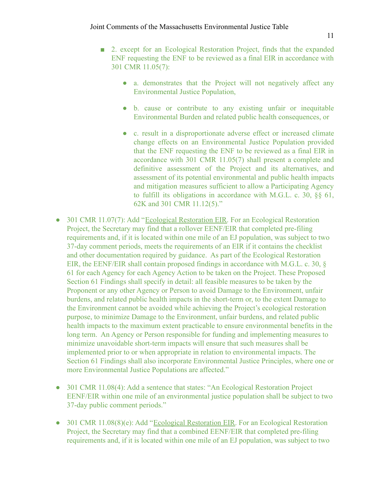- 2. except for an Ecological Restoration Project, finds that the expanded ENF requesting the ENF to be reviewed as a final EIR in accordance with 301 CMR 11.05(7):
	- a. demonstrates that the Project will not negatively affect any Environmental Justice Population,
	- b. cause or contribute to any existing unfair or inequitable Environmental Burden and related public health consequences, or
	- c. result in a disproportionate adverse effect or increased climate change effects on an Environmental Justice Population provided that the ENF requesting the ENF to be reviewed as a final EIR in accordance with 301 CMR 11.05(7) shall present a complete and definitive assessment of the Project and its alternatives, and assessment of its potential environmental and public health impacts and mitigation measures sufficient to allow a Participating Agency to fulfill its obligations in accordance with M.G.L. c. 30, §§ 61, 62K and 301 CMR 11.12(5)."
- 301 CMR 11.07(7): Add "Ecological Restoration EIR. For an Ecological Restoration Project, the Secretary may find that a rollover EENF/EIR that completed pre-filing requirements and, if it is located within one mile of an EJ population, was subject to two 37-day comment periods, meets the requirements of an EIR if it contains the checklist and other documentation required by guidance. As part of the Ecological Restoration EIR, the EENF/EIR shall contain proposed findings in accordance with M.G.L. c. 30, § 61 for each Agency for each Agency Action to be taken on the Project. These Proposed Section 61 Findings shall specify in detail: all feasible measures to be taken by the Proponent or any other Agency or Person to avoid Damage to the Environment, unfair burdens, and related public health impacts in the short-term or, to the extent Damage to the Environment cannot be avoided while achieving the Project's ecological restoration purpose, to minimize Damage to the Environment, unfair burdens, and related public health impacts to the maximum extent practicable to ensure environmental benefits in the long term. An Agency or Person responsible for funding and implementing measures to minimize unavoidable short-term impacts will ensure that such measures shall be implemented prior to or when appropriate in relation to environmental impacts. The Section 61 Findings shall also incorporate Environmental Justice Principles, where one or more Environmental Justice Populations are affected."
- 301 CMR 11.08(4): Add a sentence that states: "An Ecological Restoration Project EENF/EIR within one mile of an environmental justice population shall be subject to two 37-day public comment periods."
- 301 CMR 11.08(8)(e): Add "Ecological Restoration EIR. For an Ecological Restoration Project, the Secretary may find that a combined EENF/EIR that completed pre-filing requirements and, if it is located within one mile of an EJ population, was subject to two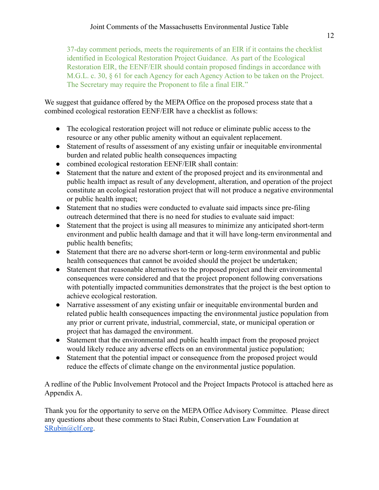37-day comment periods, meets the requirements of an EIR if it contains the checklist identified in Ecological Restoration Project Guidance. As part of the Ecological Restoration EIR, the EENF/EIR should contain proposed findings in accordance with M.G.L. c. 30, § 61 for each Agency for each Agency Action to be taken on the Project. The Secretary may require the Proponent to file a final EIR."

We suggest that guidance offered by the MEPA Office on the proposed process state that a combined ecological restoration EENF/EIR have a checklist as follows:

- The ecological restoration project will not reduce or eliminate public access to the resource or any other public amenity without an equivalent replacement.
- Statement of results of assessment of any existing unfair or inequitable environmental burden and related public health consequences impacting
- combined ecological restoration EENF/EIR shall contain:
- Statement that the nature and extent of the proposed project and its environmental and public health impact as result of any development, alteration, and operation of the project constitute an ecological restoration project that will not produce a negative environmental or public health impact;
- Statement that no studies were conducted to evaluate said impacts since pre-filing outreach determined that there is no need for studies to evaluate said impact:
- Statement that the project is using all measures to minimize any anticipated short-term environment and public health damage and that it will have long-term environmental and public health benefits;
- Statement that there are no adverse short-term or long-term environmental and public health consequences that cannot be avoided should the project be undertaken;
- Statement that reasonable alternatives to the proposed project and their environmental consequences were considered and that the project proponent following conversations with potentially impacted communities demonstrates that the project is the best option to achieve ecological restoration.
- Narrative assessment of any existing unfair or inequitable environmental burden and related public health consequences impacting the environmental justice population from any prior or current private, industrial, commercial, state, or municipal operation or project that has damaged the environment.
- Statement that the environmental and public health impact from the proposed project would likely reduce any adverse effects on an environmental justice population;
- Statement that the potential impact or consequence from the proposed project would reduce the effects of climate change on the environmental justice population.

A redline of the Public Involvement Protocol and the Project Impacts Protocol is attached here as Appendix A.

Thank you for the opportunity to serve on the MEPA Office Advisory Committee. Please direct any questions about these comments to Staci Rubin, Conservation Law Foundation at [SRubin@clf.org](mailto:SRubin@clf.org).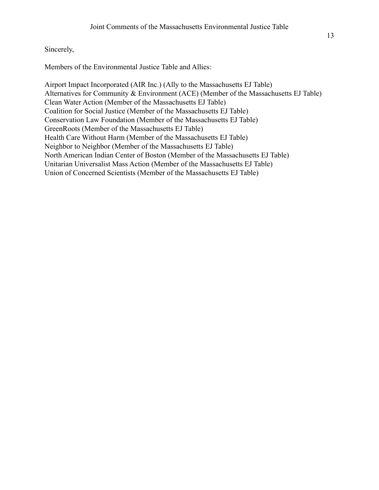Sincerely,

Members of the Environmental Justice Table and Allies:

Airport Impact Incorporated (AIR Inc.) (Ally to the Massachusetts EJ Table) Alternatives for Community & Environment (ACE) (Member of the Massachusetts EJ Table) Clean Water Action (Member of the Massachusetts EJ Table) Coalition for Social Justice (Member of the Massachusetts EJ Table) Conservation Law Foundation (Member of the Massachusetts EJ Table) GreenRoots (Member of the Massachusetts EJ Table) Health Care Without Harm (Member of the Massachusetts EJ Table) Neighbor to Neighbor (Member of the Massachusetts EJ Table) North American Indian Center of Boston (Member of the Massachusetts EJ Table) Unitarian Universalist Mass Action (Member of the Massachusetts EJ Table) Union of Concerned Scientists (Member of the Massachusetts EJ Table)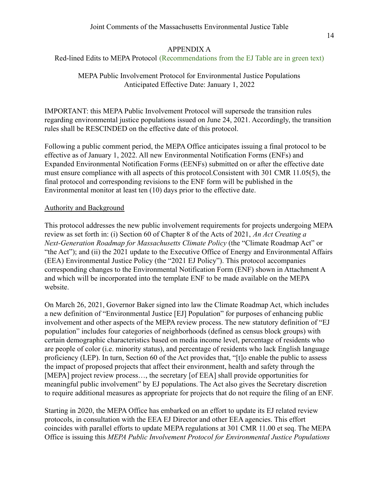## APPENDIX A

Red-lined Edits to MEPA Protocol (Recommendations from the EJ Table are in green text)

MEPA Public Involvement Protocol for Environmental Justice Populations Anticipated Effective Date: January 1, 2022

IMPORTANT: this MEPA Public Involvement Protocol will supersede the transition rules regarding environmental justice populations issued on June 24, 2021. Accordingly, the transition rules shall be RESCINDED on the effective date of this protocol.

Following a public comment period, the MEPA Office anticipates issuing a final protocol to be effective as of January 1, 2022. All new Environmental Notification Forms (ENFs) and Expanded Environmental Notification Forms (EENFs) submitted on or after the effective date must ensure compliance with all aspects of this protocol.Consistent with 301 CMR 11.05(5), the final protocol and corresponding revisions to the ENF form will be published in the Environmental monitor at least ten (10) days prior to the effective date.

#### Authority and Background

This protocol addresses the new public involvement requirements for projects undergoing MEPA review as set forth in: (i) Section 60 of Chapter 8 of the Acts of 2021, *An Act Creating a Next-Generation Roadmap for Massachusetts Climate Policy* (the "Climate Roadmap Act" or "the Act"); and (ii) the 2021 update to the Executive Office of Energy and Environmental Affairs (EEA) Environmental Justice Policy (the "2021 EJ Policy"). This protocol accompanies corresponding changes to the Environmental Notification Form (ENF) shown in Attachment A and which will be incorporated into the template ENF to be made available on the MEPA website.

On March 26, 2021, Governor Baker signed into law the Climate Roadmap Act, which includes a new definition of "Environmental Justice [EJ] Population" for purposes of enhancing public involvement and other aspects of the MEPA review process. The new statutory definition of "EJ population" includes four categories of neighborhoods (defined as census block groups) with certain demographic characteristics based on media income level, percentage of residents who are people of color (i.e. minority status), and percentage of residents who lack English language proficiency (LEP). In turn, Section 60 of the Act provides that, "[t]o enable the public to assess the impact of proposed projects that affect their environment, health and safety through the [MEPA] project review process..., the secretary [of EEA] shall provide opportunities for meaningful public involvement" by EJ populations. The Act also gives the Secretary discretion to require additional measures as appropriate for projects that do not require the filing of an ENF.

Starting in 2020, the MEPA Office has embarked on an effort to update its EJ related review protocols, in consultation with the EEA EJ Director and other EEA agencies. This effort coincides with parallel efforts to update MEPA regulations at 301 CMR 11.00 et seq. The MEPA Office is issuing this *MEPA Public Involvement Protocol for Environmental Justice Populations*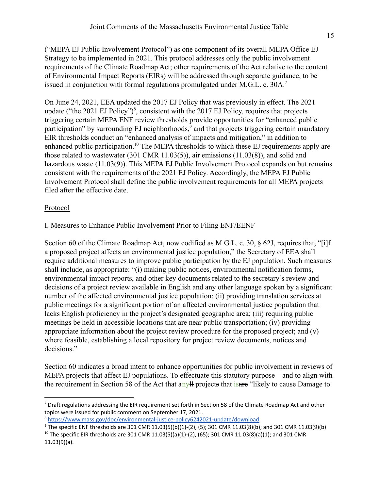("MEPA EJ Public Involvement Protocol") as one component of its overall MEPA Office EJ Strategy to be implemented in 2021. This protocol addresses only the public involvement requirements of the Climate Roadmap Act; other requirements of the Act relative to the content of Environmental Impact Reports (EIRs) will be addressed through separate guidance, to be issued in conjunction with formal regulations promulgated under M.G.L. c. 30A.<sup>7</sup>

On June 24, 2021, EEA updated the 2017 EJ Policy that was previously in effect. The 2021 update ("the 2021 EJ Policy")<sup>8</sup>, consistent with the 2017 EJ Policy, requires that projects triggering certain MEPA ENF review thresholds provide opportunities for "enhanced public participation" by surrounding EJ neighborhoods, $\frac{9}{2}$  and that projects triggering certain mandatory EIR thresholds conduct an "enhanced analysis of impacts and mitigation," in addition to enhanced public participation.<sup>10</sup> The MEPA thresholds to which these EJ requirements apply are those related to wastewater (301 CMR 11.03(5)), air emissions (11.03(8)), and solid and hazardous waste (11.03(9)). This MEPA EJ Public Involvement Protocol expands on but remains consistent with the requirements of the 2021 EJ Policy. Accordingly, the MEPA EJ Public Involvement Protocol shall define the public involvement requirements for all MEPA projects filed after the effective date.

## Protocol

## I. Measures to Enhance Public Involvement Prior to Filing ENF/EENF

Section 60 of the Climate Roadmap Act, now codified as M.G.L. c. 30,  $\&$  62J, requires that, "[i]f a proposed project affects an environmental justice population," the Secretary of EEA shall require additional measures to improve public participation by the EJ population. Such measures shall include, as appropriate: "(i) making public notices, environmental notification forms, environmental impact reports, and other key documents related to the secretary's review and decisions of a project review available in English and any other language spoken by a significant number of the affected environmental justice population; (ii) providing translation services at public meetings for a significant portion of an affected environmental justice population that lacks English proficiency in the project's designated geographic area; (iii) requiring public meetings be held in accessible locations that are near public transportation; (iv) providing appropriate information about the project review procedure for the proposed project; and (v) where feasible, establishing a local repository for project review documents, notices and decisions."

Section 60 indicates a broad intent to enhance opportunities for public involvement in reviews of MEPA projects that affect EJ populations. To effectuate this statutory purpose—and to align with the requirement in Section 58 of the Act that any<sup>th</sup> projects that is are "likely to cause Damage to

 $7$  Draft regulations addressing the EIR requirement set forth in Section 58 of the Climate Roadmap Act and other topics were issued for public comment on September 17, 2021.

<sup>8</sup> <https://www.mass.gov/doc/environmental-justice-policy6242021-update/download>

<sup>&</sup>lt;sup>10</sup> The specific EIR thresholds are 301 CMR 11.03(5)(a)(1)-(2), (65); 301 CMR 11.03(8)(a)(1); and 301 CMR 11.03(9)(a).  $9$  The specific ENF thresholds are 301 CMR 11.03(5)(b)(1)-(2), (5); 301 CMR 11.03(8)(b); and 301 CMR 11.03(9)(b)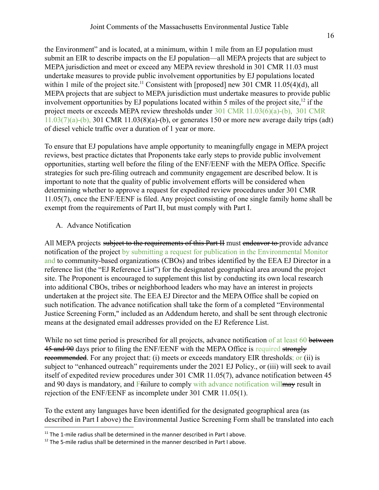the Environment" and is located, at a minimum, within 1 mile from an EJ population must submit an EIR to describe impacts on the EJ population—all MEPA projects that are subject to MEPA jurisdiction and meet or exceed any MEPA review threshold in 301 CMR 11.03 must undertake measures to provide public involvement opportunities by EJ populations located within 1 mile of the project site.<sup>11</sup> Consistent with [proposed] new 301 CMR 11.05(4)(d), all MEPA projects that are subject to MEPA jurisdiction must undertake measures to provide public involvement opportunities by EJ populations located within 5 miles of the project site,  $\frac{12}{12}$  if the project meets or exceeds MEPA review thresholds under 301 CMR 11.03(6)(a)-(b), 301 CMR  $11.03(7)(a)-(b)$ , 301 CMR  $11.03(8)(a)-(b)$ , or generates 150 or more new average daily trips (adt) of diesel vehicle traffic over a duration of 1 year or more.

To ensure that EJ populations have ample opportunity to meaningfully engage in MEPA project reviews, best practice dictates that Proponents take early steps to provide public involvement opportunities, starting well before the filing of the ENF/EENF with the MEPA Office. Specific strategies for such pre-filing outreach and community engagement are described below. It is important to note that the quality of public involvement efforts will be considered when determining whether to approve a request for expedited review procedures under 301 CMR 11.05(7), once the ENF/EENF is filed. Any project consisting of one single family home shall be exempt from the requirements of Part II, but must comply with Part I.

A. Advance Notification

All MEPA projects subject to the requirements of this Part II must endeavor to provide advance notification of the project by submitting a request for publication in the Environmental Monitor and to community-based organizations (CBOs) and tribes identified by the EEA EJ Director in a reference list (the "EJ Reference List") for the designated geographical area around the project site. The Proponent is encouraged to supplement this list by conducting its own local research into additional CBOs, tribes or neighborhood leaders who may have an interest in projects undertaken at the project site. The EEA EJ Director and the MEPA Office shall be copied on such notification. The advance notification shall take the form of a completed "Environmental Justice Screening Form," included as an Addendum hereto, and shall be sent through electronic means at the designated email addresses provided on the EJ Reference List.

While no set time period is prescribed for all projects, advance notification of at least 60 between 45 and 90 days prior to filing the ENF/EENF with the MEPA Office is required strongly recommended. For any project that: (i) meets or exceeds mandatory EIR thresholds; or (ii) is subject to "enhanced outreach" requirements under the 2021 EJ Policy., or (iii) will seek to avail itself of expedited review procedures under 301 CMR 11.05(7), advance notification between 45 and 90 days is mandatory, and Ffailure to comply with advance notification will may result in rejection of the ENF/EENF as incomplete under 301 CMR 11.05(1).

To the extent any languages have been identified for the designated geographical area (as described in Part I above) the Environmental Justice Screening Form shall be translated into each

 $11$  The 1-mile radius shall be determined in the manner described in Part I above.

 $12$  The 5-mile radius shall be determined in the manner described in Part I above.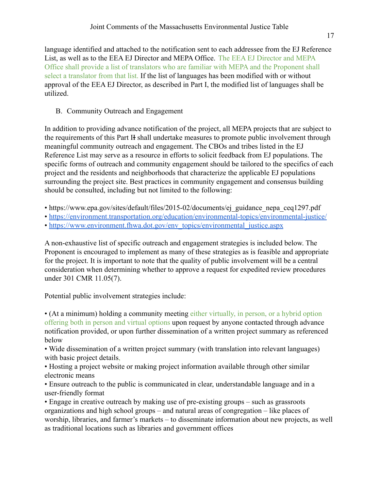language identified and attached to the notification sent to each addressee from the EJ Reference List, as well as to the EEA EJ Director and MEPA Office. The EEA EJ Director and MEPA Office shall provide a list of translators who are familiar with MEPA and the Proponent shall select a translator from that list. If the list of languages has been modified with or without approval of the EEA EJ Director, as described in Part I, the modified list of languages shall be utilized.

B. Community Outreach and Engagement

In addition to providing advance notification of the project, all MEPA projects that are subject to the requirements of this Part II shall undertake measures to promote public involvement through meaningful community outreach and engagement. The CBOs and tribes listed in the EJ Reference List may serve as a resource in efforts to solicit feedback from EJ populations. The specific forms of outreach and community engagement should be tailored to the specifics of each project and the residents and neighborhoods that characterize the applicable EJ populations surrounding the project site. Best practices in community engagement and consensus building should be consulted, including but not limited to the following:

- https://www.epa.gov/sites/default/files/2015-02/documents/ej\_guidance\_nepa\_ceq1297.pdf
- <https://environment.transportation.org/education/environmental-topics/environmental-justice/>
- [https://www.environment.fhwa.dot.gov/env\\_topics/environmental\\_justice.aspx](https://www.environment.fhwa.dot.gov/env_topics/environmental_justice.aspx)

A non-exhaustive list of specific outreach and engagement strategies is included below. The Proponent is encouraged to implement as many of these strategies as is feasible and appropriate for the project. It is important to note that the quality of public involvement will be a central consideration when determining whether to approve a request for expedited review procedures under 301 CMR 11.05(7).

Potential public involvement strategies include:

• (At a minimum) holding a community meeting either virtually, in person, or a hybrid option offering both in person and virtual options upon request by anyone contacted through advance notification provided, or upon further dissemination of a written project summary as referenced below

• Wide dissemination of a written project summary (with translation into relevant languages) with basic project details,

• Hosting a project website or making project information available through other similar electronic means

• Ensure outreach to the public is communicated in clear, understandable language and in a user-friendly format

• Engage in creative outreach by making use of pre-existing groups – such as grassroots organizations and high school groups – and natural areas of congregation – like places of worship, libraries, and farmer's markets – to disseminate information about new projects, as well as traditional locations such as libraries and government offices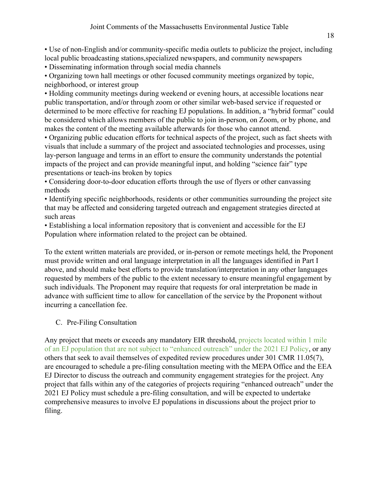• Use of non-English and/or community-specific media outlets to publicize the project, including local public broadcasting stations,specialized newspapers, and community newspapers

• Disseminating information through social media channels

• Organizing town hall meetings or other focused community meetings organized by topic, neighborhood, or interest group

• Holding community meetings during weekend or evening hours, at accessible locations near public transportation, and/or through zoom or other similar web-based service if requested or determined to be more effective for reaching EJ populations. In addition, a "hybrid format" could be considered which allows members of the public to join in-person, on Zoom, or by phone, and makes the content of the meeting available afterwards for those who cannot attend.

• Organizing public education efforts for technical aspects of the project, such as fact sheets with visuals that include a summary of the project and associated technologies and processes, using lay-person language and terms in an effort to ensure the community understands the potential impacts of the project and can provide meaningful input, and holding "science fair" type presentations or teach-ins broken by topics

• Considering door-to-door education efforts through the use of flyers or other canvassing methods

• Identifying specific neighborhoods, residents or other communities surrounding the project site that may be affected and considering targeted outreach and engagement strategies directed at such areas

• Establishing a local information repository that is convenient and accessible for the EJ Population where information related to the project can be obtained.

To the extent written materials are provided, or in-person or remote meetings held, the Proponent must provide written and oral language interpretation in all the languages identified in Part I above, and should make best efforts to provide translation/interpretation in any other languages requested by members of the public to the extent necessary to ensure meaningful engagement by such individuals. The Proponent may require that requests for oral interpretation be made in advance with sufficient time to allow for cancellation of the service by the Proponent without incurring a cancellation fee.

# C. Pre-Filing Consultation

Any project that meets or exceeds any mandatory EIR threshold, projects located within 1 mile of an EJ population that are not subject to "enhanced outreach" under the 2021 EJ Policy, or any others that seek to avail themselves of expedited review procedures under 301 CMR 11.05(7), are encouraged to schedule a pre-filing consultation meeting with the MEPA Office and the EEA EJ Director to discuss the outreach and community engagement strategies for the project. Any project that falls within any of the categories of projects requiring "enhanced outreach" under the 2021 EJ Policy must schedule a pre-filing consultation, and will be expected to undertake comprehensive measures to involve EJ populations in discussions about the project prior to filing.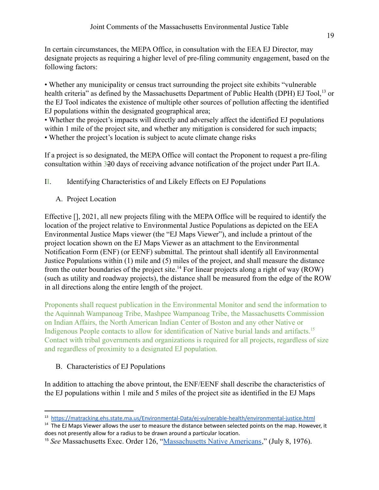In certain circumstances, the MEPA Office, in consultation with the EEA EJ Director, may designate projects as requiring a higher level of pre-filing community engagement, based on the following factors:

• Whether any municipality or census tract surrounding the project site exhibits "vulnerable health criteria" as defined by the Massachusetts Department of Public Health (DPH) EJ Tool,<sup>13</sup> or the EJ Tool indicates the existence of multiple other sources of pollution affecting the identified EJ populations within the designated geographical area;

• Whether the project's impacts will directly and adversely affect the identified EJ populations within 1 mile of the project site, and whether any mitigation is considered for such impacts; • Whether the project's location is subject to acute climate change risks

If a project is so designated, the MEPA Office will contact the Proponent to request a pre-filing consultation within 320 days of receiving advance notification of the project under Part II.A.

II. Identifying Characteristics of and Likely Effects on EJ Populations

A. Project Location

Effective [], 2021, all new projects filing with the MEPA Office will be required to identify the location of the project relative to Environmental Justice Populations as depicted on the EEA Environmental Justice Maps viewer (the "EJ Maps Viewer"), and include a printout of the project location shown on the EJ Maps Viewer as an attachment to the Environmental Notification Form (ENF) (or EENF) submittal. The printout shall identify all Environmental Justice Populations within (1) mile and (5) miles of the project, and shall measure the distance from the outer boundaries of the project site.<sup>14</sup> For linear projects along a right of way (ROW) (such as utility and roadway projects), the distance shall be measured from the edge of the ROW in all directions along the entire length of the project.

Proponents shall request publication in the Environmental Monitor and send the information to the Aquinnah Wampanoag Tribe, Mashpee Wampanoag Tribe, the Massachusetts Commission on Indian Affairs, the North American Indian Center of Boston and any other Native or Indigenous People contacts to allow for identification of Native burial lands and artifacts.<sup>15</sup> Contact with tribal governments and organizations is required for all projects, regardless of size and regardless of proximity to a designated EJ population.

# B. Characteristics of EJ Populations

In addition to attaching the above printout, the ENF/EENF shall describe the characteristics of the EJ populations within 1 mile and 5 miles of the project site as identified in the EJ Maps

<sup>13</sup> <https://matracking.ehs.state.ma.us/Environmental-Data/ej-vulnerable-health/environmental-justice.html>

<sup>&</sup>lt;sup>14</sup> The EJ Maps Viewer allows the user to measure the distance between selected points on the map. However, it does not presently allow for a radius to be drawn around a particular location.

<sup>&</sup>lt;sup>15</sup> See Massachusetts Exec. Order 126, "Massachusetts [Native Americans](https://www.mass.gov/executive-orders/no-126-massachusetts-native-americans)," (July 8, 1976).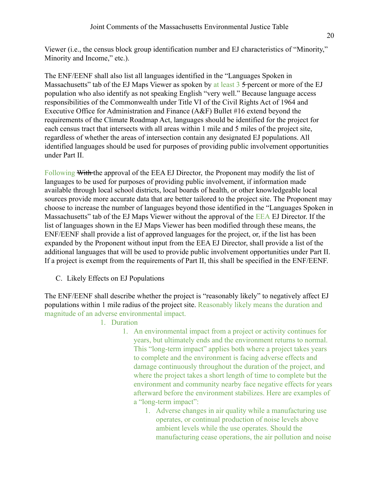Viewer (i.e., the census block group identification number and EJ characteristics of "Minority," Minority and Income," etc.).

The ENF/EENF shall also list all languages identified in the "Languages Spoken in Massachusetts" tab of the EJ Maps Viewer as spoken by at least 3 5-percent or more of the EJ population who also identify as not speaking English "very well." Because language access responsibilities of the Commonwealth under Title VI of the Civil Rights Act of 1964 and Executive Office for Administration and Finance (A&F) Bullet #16 extend beyond the requirements of the Climate Roadmap Act, languages should be identified for the project for each census tract that intersects with all areas within 1 mile and 5 miles of the project site, regardless of whether the areas of intersection contain any designated EJ populations. All identified languages should be used for purposes of providing public involvement opportunities under Part II.

Following With the approval of the EEA EJ Director, the Proponent may modify the list of languages to be used for purposes of providing public involvement, if information made available through local school districts, local boards of health, or other knowledgeable local sources provide more accurate data that are better tailored to the project site. The Proponent may choose to increase the number of languages beyond those identified in the "Languages Spoken in Massachusetts" tab of the EJ Maps Viewer without the approval of the EEA EJ Director. If the list of languages shown in the EJ Maps Viewer has been modified through these means, the ENF/EENF shall provide a list of approved languages for the project, or, if the list has been expanded by the Proponent without input from the EEA EJ Director, shall provide a list of the additional languages that will be used to provide public involvement opportunities under Part II. If a project is exempt from the requirements of Part II, this shall be specified in the ENF/EENF.

C. Likely Effects on EJ Populations

The ENF/EENF shall describe whether the project is "reasonably likely" to negatively affect EJ populations within 1 mile radius of the project site. Reasonably likely means the duration and magnitude of an adverse environmental impact.

- 1. Duration
	- 1. An environmental impact from a project or activity continues for years, but ultimately ends and the environment returns to normal. This "long-term impact" applies both where a project takes years to complete and the environment is facing adverse effects and damage continuously throughout the duration of the project, and where the project takes a short length of time to complete but the environment and community nearby face negative effects for years afterward before the environment stabilizes. Here are examples of a "long-term impact":
		- 1. Adverse changes in air quality while a manufacturing use operates, or continual production of noise levels above ambient levels while the use operates. Should the manufacturing cease operations, the air pollution and noise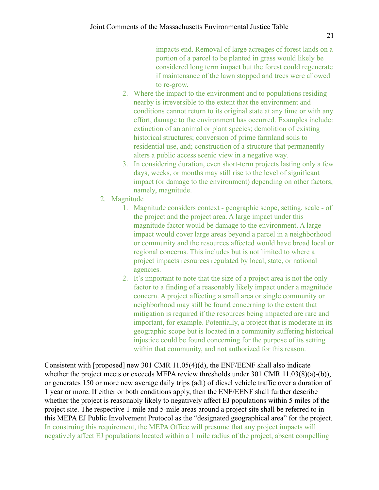impacts end. Removal of large acreages of forest lands on a portion of a parcel to be planted in grass would likely be considered long term impact but the forest could regenerate if maintenance of the lawn stopped and trees were allowed to re-grow.

- 2. Where the impact to the environment and to populations residing nearby is irreversible to the extent that the environment and conditions cannot return to its original state at any time or with any effort, damage to the environment has occurred. Examples include: extinction of an animal or plant species; demolition of existing historical structures; conversion of prime farmland soils to residential use, and; construction of a structure that permanently alters a public access scenic view in a negative way.
- 3. In considering duration, even short-term projects lasting only a few days, weeks, or months may still rise to the level of significant impact (or damage to the environment) depending on other factors, namely, magnitude.
- 2. Magnitude
	- 1. Magnitude considers context geographic scope, setting, scale of the project and the project area. A large impact under this magnitude factor would be damage to the environment. A large impact would cover large areas beyond a parcel in a neighborhood or community and the resources affected would have broad local or regional concerns. This includes but is not limited to where a project impacts resources regulated by local, state, or national agencies.
	- 2. It's important to note that the size of a project area is not the only factor to a finding of a reasonably likely impact under a magnitude concern. A project affecting a small area or single community or neighborhood may still be found concerning to the extent that mitigation is required if the resources being impacted are rare and important, for example. Potentially, a project that is moderate in its geographic scope but is located in a community suffering historical injustice could be found concerning for the purpose of its setting within that community, and not authorized for this reason.

Consistent with [proposed] new 301 CMR 11.05(4)(d), the ENF/EENF shall also indicate whether the project meets or exceeds MEPA review thresholds under 301 CMR 11.03(8)(a)-(b)), or generates 150 or more new average daily trips (adt) of diesel vehicle traffic over a duration of 1 year or more. If either or both conditions apply, then the ENF/EENF shall further describe whether the project is reasonably likely to negatively affect EJ populations within 5 miles of the project site. The respective 1-mile and 5-mile areas around a project site shall be referred to in this MEPA EJ Public Involvement Protocol as the "designated geographical area" for the project. In construing this requirement, the MEPA Office will presume that any project impacts will negatively affect EJ populations located within a 1 mile radius of the project, absent compelling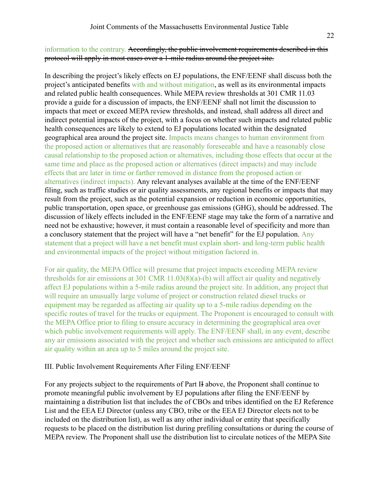#### information to the contrary. Accordingly, the public involvement requirements described in this protocol will apply in most cases over a 1-mile radius around the project site.

In describing the project's likely effects on EJ populations, the ENF/EENF shall discuss both the project's anticipated benefits with and without mitigation, as well as its environmental impacts and related public health consequences. While MEPA review thresholds at 301 CMR 11.03 provide a guide for a discussion of impacts, the ENF/EENF shall not limit the discussion to impacts that meet or exceed MEPA review thresholds, and instead, shall address all direct and indirect potential impacts of the project, with a focus on whether such impacts and related public health consequences are likely to extend to EJ populations located within the designated geographical area around the project site. Impacts means changes to human environment from the proposed action or alternatives that are reasonably foreseeable and have a reasonably close causal relationship to the proposed action or alternatives, including those effects that occur at the same time and place as the proposed action or alternatives (direct impacts) and may include effects that are later in time or farther removed in distance from the proposed action or alternatives (indirect impacts). Any relevant analyses available at the time of the ENF/EENF filing, such as traffic studies or air quality assessments, any regional benefits or impacts that may result from the project, such as the potential expansion or reduction in economic opportunities, public transportation, open space, or greenhouse gas emissions (GHG), should be addressed. The discussion of likely effects included in the ENF/EENF stage may take the form of a narrative and need not be exhaustive; however, it must contain a reasonable level of specificity and more than a conclusory statement that the project will have a "net benefit" for the EJ population. Any statement that a project will have a net benefit must explain short- and long-term public health and environmental impacts of the project without mitigation factored in.

For air quality, the MEPA Office will presume that project impacts exceeding MEPA review thresholds for air emissions at 301 CMR 11.03(8)(a)-(b) will affect air quality and negatively affect EJ populations within a 5-mile radius around the project site. In addition, any project that will require an unusually large volume of project or construction related diesel trucks or equipment may be regarded as affecting air quality up to a 5-mile radius depending on the specific routes of travel for the trucks or equipment. The Proponent is encouraged to consult with the MEPA Office prior to filing to ensure accuracy in determining the geographical area over which public involvement requirements will apply. The ENF/EENF shall, in any event, describe any air emissions associated with the project and whether such emissions are anticipated to affect air quality within an area up to 5 miles around the project site.

#### III. Public Involvement Requirements After Filing ENF/EENF

For any projects subject to the requirements of Part II above, the Proponent shall continue to promote meaningful public involvement by EJ populations after filing the ENF/EENF by maintaining a distribution list that includes the of CBOs and tribes identified on the EJ Reference List and the EEA EJ Director (unless any CBO, tribe or the EEA EJ Director elects not to be included on the distribution list), as well as any other individual or entity that specifically requests to be placed on the distribution list during prefiling consultations or during the course of MEPA review. The Proponent shall use the distribution list to circulate notices of the MEPA Site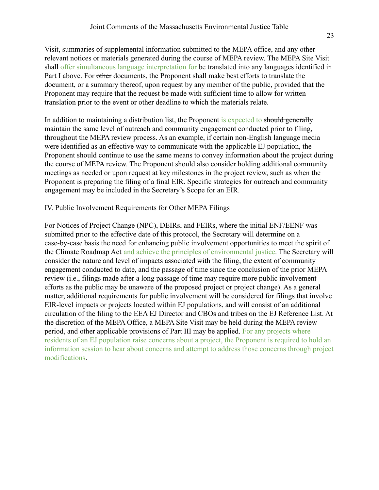Visit, summaries of supplemental information submitted to the MEPA office, and any other relevant notices or materials generated during the course of MEPA review. The MEPA Site Visit shall offer simultaneous language interpretation for be translated into any languages identified in Part I above. For other documents, the Proponent shall make best efforts to translate the document, or a summary thereof, upon request by any member of the public, provided that the Proponent may require that the request be made with sufficient time to allow for written translation prior to the event or other deadline to which the materials relate.

In addition to maintaining a distribution list, the Proponent is expected to should generally maintain the same level of outreach and community engagement conducted prior to filing, throughout the MEPA review process. As an example, if certain non-English language media were identified as an effective way to communicate with the applicable EJ population, the Proponent should continue to use the same means to convey information about the project during the course of MEPA review. The Proponent should also consider holding additional community meetings as needed or upon request at key milestones in the project review, such as when the Proponent is preparing the filing of a final EIR. Specific strategies for outreach and community engagement may be included in the Secretary's Scope for an EIR.

#### IV. Public Involvement Requirements for Other MEPA Filings

For Notices of Project Change (NPC), DEIRs, and FEIRs, where the initial ENF/EENF was submitted prior to the effective date of this protocol, the Secretary will determine on a case-by-case basis the need for enhancing public involvement opportunities to meet the spirit of the Climate Roadmap Act and achieve the principles of environmental justice. The Secretary will consider the nature and level of impacts associated with the filing, the extent of community engagement conducted to date, and the passage of time since the conclusion of the prior MEPA review (i.e., filings made after a long passage of time may require more public involvement efforts as the public may be unaware of the proposed project or project change). As a general matter, additional requirements for public involvement will be considered for filings that involve EIR-level impacts or projects located within EJ populations, and will consist of an additional circulation of the filing to the EEA EJ Director and CBOs and tribes on the EJ Reference List. At the discretion of the MEPA Office, a MEPA Site Visit may be held during the MEPA review period, and other applicable provisions of Part III may be applied. For any projects where residents of an EJ population raise concerns about a project, the Proponent is required to hold an information session to hear about concerns and attempt to address those concerns through project modifications.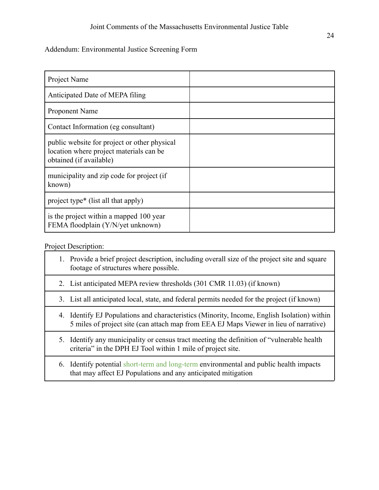#### Addendum: Environmental Justice Screening Form

| Project Name                                                                                                       |  |
|--------------------------------------------------------------------------------------------------------------------|--|
| Anticipated Date of MEPA filing                                                                                    |  |
| Proponent Name                                                                                                     |  |
| Contact Information (eg consultant)                                                                                |  |
| public website for project or other physical<br>location where project materials can be<br>obtained (if available) |  |
| municipality and zip code for project (if<br>known)                                                                |  |
| project type* (list all that apply)                                                                                |  |
| is the project within a mapped 100 year<br>FEMA floodplain (Y/N/yet unknown)                                       |  |

Project Description:

|  | 1. Provide a brief project description, including overall size of the project site and square<br>footage of structures where possible. |
|--|----------------------------------------------------------------------------------------------------------------------------------------|
|  | 2. List anticipated MEPA review thresholds (301 CMR 11.03) (if known)                                                                  |
|  | 3. List all anticipated local, state, and federal permits needed for the project (if known)                                            |

- 4. Identify EJ Populations and characteristics (Minority, Income, English Isolation) within 5 miles of project site (can attach map from EEA EJ Maps Viewer in lieu of narrative)
- 5. Identify any municipality or census tract meeting the definition of "vulnerable health criteria" in the DPH EJ Tool within 1 mile of project site.
- 6. Identify potential short-term and long-term environmental and public health impacts that may affect EJ Populations and any anticipated mitigation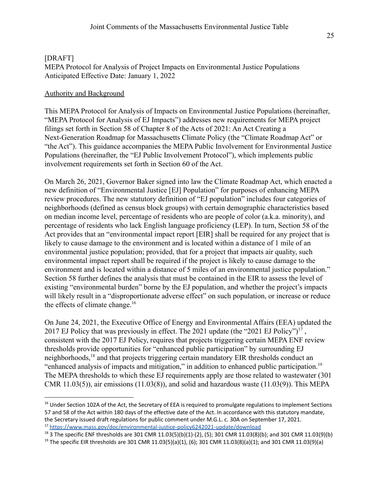### [DRAFT] MEPA Protocol for Analysis of Project Impacts on Environmental Justice Populations Anticipated Effective Date: January 1, 2022

#### Authority and Background

This MEPA Protocol for Analysis of Impacts on Environmental Justice Populations (hereinafter, "MEPA Protocol for Analysis of EJ Impacts") addresses new requirements for MEPA project filings set forth in Section 58 of Chapter 8 of the Acts of 2021: An Act Creating a Next-Generation Roadmap for Massachusetts Climate Policy (the "Climate Roadmap Act" or "the Act"). This guidance accompanies the MEPA Public Involvement for Environmental Justice Populations (hereinafter, the "EJ Public Involvement Protocol"), which implements public involvement requirements set forth in Section 60 of the Act.

On March 26, 2021, Governor Baker signed into law the Climate Roadmap Act, which enacted a new definition of "Environmental Justice [EJ] Population" for purposes of enhancing MEPA review procedures. The new statutory definition of "EJ population" includes four categories of neighborhoods (defined as census block groups) with certain demographic characteristics based on median income level, percentage of residents who are people of color (a.k.a. minority), and percentage of residents who lack English language proficiency (LEP). In turn, Section 58 of the Act provides that an "environmental impact report [EIR] shall be required for any project that is likely to cause damage to the environment and is located within a distance of 1 mile of an environmental justice population; provided, that for a project that impacts air quality, such environmental impact report shall be required if the project is likely to cause damage to the environment and is located within a distance of 5 miles of an environmental justice population." Section 58 further defines the analysis that must be contained in the EIR to assess the level of existing "environmental burden" borne by the EJ population, and whether the project's impacts will likely result in a "disproportionate adverse effect" on such population, or increase or reduce the effects of climate change.<sup>16</sup>

On June 24, 2021, the Executive Office of Energy and Environmental Affairs (EEA) updated the 2017 EJ Policy that was previously in effect. The 2021 update (the "2021 EJ Policy")<sup>17</sup>, consistent with the 2017 EJ Policy, requires that projects triggering certain MEPA ENF review thresholds provide opportunities for "enhanced public participation" by surrounding EJ neighborhoods,  $^{18}$  and that projects triggering certain mandatory EIR thresholds conduct an "enhanced analysis of impacts and mitigation," in addition to enhanced public participation.<sup>19</sup> The MEPA thresholds to which these EJ requirements apply are those related to wastewater (301 CMR  $11.03(5)$ ), air emissions  $(11.03(8))$ , and solid and hazardous waste  $(11.03(9))$ . This MEPA

<sup>17</sup> <https://www.mass.gov/doc/environmental-justice-policy6242021-update/download> <sup>16</sup> Under Section 102A of the Act, the Secretary of EEA is required to promulgate regulations to implement Sections 57 and 58 of the Act within 180 days of the effective date of the Act. In accordance with this statutory mandate, the Secretary issued draft regulations for public comment under M.G.L. c. 30A on September 17, 2021.

<sup>&</sup>lt;sup>18</sup> 3 The specific ENF thresholds are 301 CMR 11.03(5)(b)(1)-(2), (5); 301 CMR 11.03(8)(b); and 301 CMR 11.03(9)(b)

<sup>&</sup>lt;sup>19</sup> The specific EIR thresholds are 301 CMR 11.03(5)(a)(1), (6); 301 CMR 11.03(8)(a)(1); and 301 CMR 11.03(9)(a)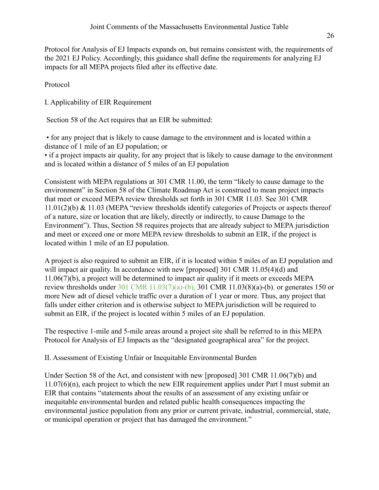Protocol for Analysis of EJ Impacts expands on, but remains consistent with, the requirements of the 2021 EJ Policy. Accordingly, this guidance shall define the requirements for analyzing EJ impacts for all MEPA projects filed after its effective date.

Protocol

I. Applicability of EIR Requirement

Section 58 of the Act requires that an EIR be submitted:

• for any project that is likely to cause damage to the environment and is located within a distance of 1 mile of an EJ population; or

• if a project impacts air quality, for any project that is likely to cause damage to the environment and is located within a distance of 5 miles of an EJ population

Consistent with MEPA regulations at 301 CMR 11.00, the term "likely to cause damage to the environment" in Section 58 of the Climate Roadmap Act is construed to mean project impacts that meet or exceed MEPA review thresholds set forth in 301 CMR 11.03. See 301 CMR 11.01(2)(b) & 11.03 (MEPA "review thresholds identify categories of Projects or aspects thereof of a nature, size or location that are likely, directly or indirectly, to cause Damage to the Environment"). Thus, Section 58 requires projects that are already subject to MEPA jurisdiction and meet or exceed one or more MEPA review thresholds to submit an EIR, if the project is located within 1 mile of an EJ population.

A project is also required to submit an EIR, if it is located within 5 miles of an EJ population and will impact air quality. In accordance with new [proposed] 301 CMR 11.05(4)(d) and 11.06(7)(b), a project will be determined to impact air quality if it meets or exceeds MEPA review thresholds under 301 CMR 11.03(7)(a)-(b), 301 CMR 11.03(8)(a)-(b), or generates 150 or more New adt of diesel vehicle traffic over a duration of 1 year or more. Thus, any project that falls under either criterion and is otherwise subject to MEPA jurisdiction will be required to submit an EIR, if the project is located within 5 miles of an EJ population.

The respective 1-mile and 5-mile areas around a project site shall be referred to in this MEPA Protocol for Analysis of EJ Impacts as the "designated geographical area" for the project.

II. Assessment of Existing Unfair or Inequitable Environmental Burden

Under Section 58 of the Act, and consistent with new [proposed] 301 CMR 11.06(7)(b) and 11.07(6)(n), each project to which the new EIR requirement applies under Part I must submit an EIR that contains "statements about the results of an assessment of any existing unfair or inequitable environmental burden and related public health consequences impacting the environmental justice population from any prior or current private, industrial, commercial, state, or municipal operation or project that has damaged the environment."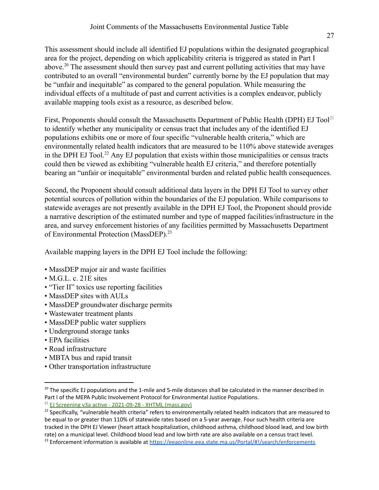This assessment should include all identified EJ populations within the designated geographical area for the project, depending on which applicability criteria is triggered as stated in Part I above.<sup>20</sup> The assessment should then survey past and current polluting activities that may have contributed to an overall "environmental burden" currently borne by the EJ population that may be "unfair and inequitable" as compared to the general population. While measuring the individual effects of a multitude of past and current activities is a complex endeavor, publicly available mapping tools exist as a resource, as described below.

First, Proponents should consult the Massachusetts Department of Public Health (DPH) EJ  $Tool<sup>21</sup>$ to identify whether any municipality or census tract that includes any of the identified EJ populations exhibits one or more of four specific "vulnerable health criteria," which are environmentally related health indicators that are measured to be 110% above statewide averages in the DPH EJ Tool.<sup>22</sup> Any EJ population that exists within those municipalities or census tracts could then be viewed as exhibiting "vulnerable health EJ criteria," and therefore potentially bearing an "unfair or inequitable" environmental burden and related public health consequences.

Second, the Proponent should consult additional data layers in the DPH EJ Tool to survey other potential sources of pollution within the boundaries of the EJ population. While comparisons to statewide averages are not presently available in the DPH EJ Tool, the Proponent should provide a narrative description of the estimated number and type of mapped facilities/infrastructure in the area, and survey enforcement histories of any facilities permitted by Massachusetts Department of Environmental Protection (MassDEP).<sup>23</sup>

Available mapping layers in the DPH EJ Tool include the following:

- MassDEP major air and waste facilities
- M.G.L. c. 21E sites
- "Tier II" toxics use reporting facilities
- MassDEP sites with AULs
- MassDEP groundwater discharge permits
- Wastewater treatment plants
- MassDEP public water suppliers
- Underground storage tanks
- EPA facilities
- Road infrastructure
- MBTA bus and rapid transit
- Other transportation infrastructure

 $20$  The specific EJ populations and the 1-mile and 5-mile distances shall be calculated in the manner described in Part I of the MEPA Public Involvement Protocol for Environmental Justice Populations.

 $21$  EJ Screening v3a active - [2021-09-28](https://dphanalytics.hhs.mass.gov/ibmcognos/bi/?perspective=authoring&pathRef=.public_folders%2FMEPHTN%2Fcommunity%2FEJ%2BScreening%2FEJ%2BScreening%2Bv3a%2Bactive%2F2021-09-28T18%253A33%253A03.224Z%2F2021-09-28T18%253A33%253A03.497Z&id=i19D5C5077B0B45E08EF93BB985234227&closeWindowOnLastView=true&ui_appbar=false&ui_navbar=false&reportPropStr=%7B%22id%22%3A%22iA271E548A4F7444DA56DF874161C6DE8%22%2C%22type%22%3A%22interactiveReport%22%7D&type=output&cmPropStr=%7B%22id%22%3A%22i19D5C5077B0B45E08EF93BB985234227%22%2C%22type%22%3A%22output%22%2C%22defaultName%22%3A%22EJ%20Screening%20v3a%20active%20-%202021-09-28%20-%20XHTML%22%2C%22permissions%22%3A%5B%22execute%22%2C%22read%22%2C%22traverse%22%5D%2C%22modificationTime%22%3A%222021-09-28T18%3A33%3A03.609Z%22%2C%22format%22%3A%22XHTML%22%2C%22parent%22%3A%5B%7B%22id%22%3A%22i53B88A7D20334F0384F54CA65615A89D%22%2C%22type%22%3A%22reportVersion%22%7D%5D%7D) - XHTML (mass.gov)

 $22$  Specifically, "vulnerable health criteria" refers to environmentally related health indicators that are measured to be equal to or greater than 110% of statewide rates based on a 5-year average. Four such health criteria are tracked in the DPH EJ Viewer (heart attack hospitalization, childhood asthma, childhood blood lead, and low birth rate) on a municipal level. Childhood blood lead and low birth rate are also available on a census tract level.

<sup>&</sup>lt;sup>23</sup> Enforcement information is available at <https://eeaonline.eea.state.ma.us/Portal/#!/search/enforcements>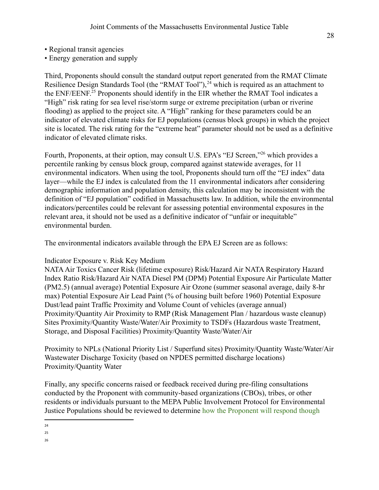- Regional transit agencies
- Energy generation and supply

Third, Proponents should consult the standard output report generated from the RMAT Climate Resilience Design Standards Tool (the "RMAT Tool"),  $^{24}$  which is required as an attachment to the ENF/EENF.<sup>25</sup> Proponents should identify in the EIR whether the RMAT Tool indicates a "High" risk rating for sea level rise/storm surge or extreme precipitation (urban or riverine flooding) as applied to the project site. A "High" ranking for these parameters could be an indicator of elevated climate risks for EJ populations (census block groups) in which the project site is located. The risk rating for the "extreme heat" parameter should not be used as a definitive indicator of elevated climate risks.

Fourth, Proponents, at their option, may consult U.S. EPA's "EJ Screen,"<sup>26</sup> which provides a percentile ranking by census block group, compared against statewide averages, for 11 environmental indicators. When using the tool, Proponents should turn off the "EJ index" data layer—while the EJ index is calculated from the 11 environmental indicators after considering demographic information and population density, this calculation may be inconsistent with the definition of "EJ population" codified in Massachusetts law. In addition, while the environmental indicators/percentiles could be relevant for assessing potential environmental exposures in the relevant area, it should not be used as a definitive indicator of "unfair or inequitable" environmental burden.

The environmental indicators available through the EPA EJ Screen are as follows:

# Indicator Exposure v. Risk Key Medium

NATAAir Toxics Cancer Risk (lifetime exposure) Risk/Hazard Air NATA Respiratory Hazard Index Ratio Risk/Hazard Air NATA Diesel PM (DPM) Potential Exposure Air Particulate Matter (PM2.5) (annual average) Potential Exposure Air Ozone (summer seasonal average, daily 8-hr max) Potential Exposure Air Lead Paint (% of housing built before 1960) Potential Exposure Dust/lead paint Traffic Proximity and Volume Count of vehicles (average annual) Proximity/Quantity Air Proximity to RMP (Risk Management Plan / hazardous waste cleanup) Sites Proximity/Quantity Waste/Water/Air Proximity to TSDFs (Hazardous waste Treatment, Storage, and Disposal Facilities) Proximity/Quantity Waste/Water/Air

Proximity to NPLs (National Priority List / Superfund sites) Proximity/Quantity Waste/Water/Air Wastewater Discharge Toxicity (based on NPDES permitted discharge locations) Proximity/Quantity Water

Finally, any specific concerns raised or feedback received during pre-filing consultations conducted by the Proponent with community-based organizations (CBOs), tribes, or other residents or individuals pursuant to the MEPA Public Involvement Protocol for Environmental Justice Populations should be reviewed to determine how the Proponent will respond though

25

26

<sup>24</sup>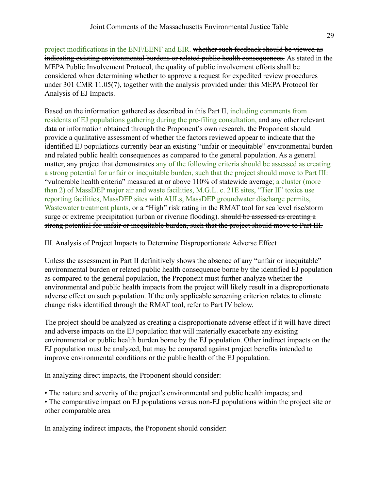project modifications in the ENF/EENF and EIR. whether such feedback should be viewed as indicating existing environmental burdens or related public health consequences. As stated in the MEPA Public Involvement Protocol, the quality of public involvement efforts shall be considered when determining whether to approve a request for expedited review procedures under 301 CMR 11.05(7), together with the analysis provided under this MEPA Protocol for Analysis of EJ Impacts.

Based on the information gathered as described in this Part II, including comments from residents of EJ populations gathering during the pre-filing consultation, and any other relevant data or information obtained through the Proponent's own research, the Proponent should provide a qualitative assessment of whether the factors reviewed appear to indicate that the identified EJ populations currently bear an existing "unfair or inequitable" environmental burden and related public health consequences as compared to the general population. As a general matter, any project that demonstrates any of the following criteria should be assessed as creating a strong potential for unfair or inequitable burden, such that the project should move to Part III: "vulnerable health criteria" measured at or above 110% of statewide average; a cluster (more than 2) of MassDEP major air and waste facilities, M.G.L. c. 21E sites, "Tier II" toxics use reporting facilities, MassDEP sites with AULs, MassDEP groundwater discharge permits, Wastewater treatment plants, or a "High" risk rating in the RMAT tool for sea level rise/storm surge or extreme precipitation (urban or riverine flooding). should be assessed as creating a strong potential for unfair or inequitable burden, such that the project should move to Part III.

III. Analysis of Project Impacts to Determine Disproportionate Adverse Effect

Unless the assessment in Part II definitively shows the absence of any "unfair or inequitable" environmental burden or related public health consequence borne by the identified EJ population as compared to the general population, the Proponent must further analyze whether the environmental and public health impacts from the project will likely result in a disproportionate adverse effect on such population. If the only applicable screening criterion relates to climate change risks identified through the RMAT tool, refer to Part IV below.

The project should be analyzed as creating a disproportionate adverse effect if it will have direct and adverse impacts on the EJ population that will materially exacerbate any existing environmental or public health burden borne by the EJ population. Other indirect impacts on the EJ population must be analyzed, but may be compared against project benefits intended to improve environmental conditions or the public health of the EJ population.

In analyzing direct impacts, the Proponent should consider:

• The nature and severity of the project's environmental and public health impacts; and

• The comparative impact on EJ populations versus non-EJ populations within the project site or other comparable area

In analyzing indirect impacts, the Proponent should consider: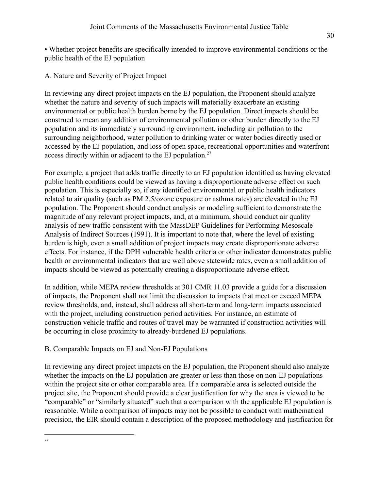• Whether project benefits are specifically intended to improve environmental conditions or the public health of the EJ population

A. Nature and Severity of Project Impact

In reviewing any direct project impacts on the EJ population, the Proponent should analyze whether the nature and severity of such impacts will materially exacerbate an existing environmental or public health burden borne by the EJ population. Direct impacts should be construed to mean any addition of environmental pollution or other burden directly to the EJ population and its immediately surrounding environment, including air pollution to the surrounding neighborhood, water pollution to drinking water or water bodies directly used or accessed by the EJ population, and loss of open space, recreational opportunities and waterfront access directly within or adjacent to the EJ population.<sup>27</sup>

For example, a project that adds traffic directly to an EJ population identified as having elevated public health conditions could be viewed as having a disproportionate adverse effect on such population. This is especially so, if any identified environmental or public health indicators related to air quality (such as PM 2.5/ozone exposure or asthma rates) are elevated in the EJ population. The Proponent should conduct analysis or modeling sufficient to demonstrate the magnitude of any relevant project impacts, and, at a minimum, should conduct air quality analysis of new traffic consistent with the MassDEP Guidelines for Performing Mesoscale Analysis of Indirect Sources (1991). It is important to note that, where the level of existing burden is high, even a small addition of project impacts may create disproportionate adverse effects. For instance, if the DPH vulnerable health criteria or other indicator demonstrates public health or environmental indicators that are well above statewide rates, even a small addition of impacts should be viewed as potentially creating a disproportionate adverse effect.

In addition, while MEPA review thresholds at 301 CMR 11.03 provide a guide for a discussion of impacts, the Proponent shall not limit the discussion to impacts that meet or exceed MEPA review thresholds, and, instead, shall address all short-term and long-term impacts associated with the project, including construction period activities. For instance, an estimate of construction vehicle traffic and routes of travel may be warranted if construction activities will be occurring in close proximity to already-burdened EJ populations.

# B. Comparable Impacts on EJ and Non-EJ Populations

In reviewing any direct project impacts on the EJ population, the Proponent should also analyze whether the impacts on the EJ population are greater or less than those on non-EJ populations within the project site or other comparable area. If a comparable area is selected outside the project site, the Proponent should provide a clear justification for why the area is viewed to be "comparable" or "similarly situated" such that a comparison with the applicable EJ population is reasonable. While a comparison of impacts may not be possible to conduct with mathematical precision, the EIR should contain a description of the proposed methodology and justification for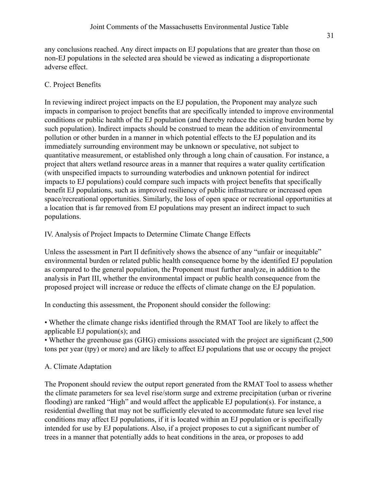any conclusions reached. Any direct impacts on EJ populations that are greater than those on non-EJ populations in the selected area should be viewed as indicating a disproportionate adverse effect.

# C. Project Benefits

In reviewing indirect project impacts on the EJ population, the Proponent may analyze such impacts in comparison to project benefits that are specifically intended to improve environmental conditions or public health of the EJ population (and thereby reduce the existing burden borne by such population). Indirect impacts should be construed to mean the addition of environmental pollution or other burden in a manner in which potential effects to the EJ population and its immediately surrounding environment may be unknown or speculative, not subject to quantitative measurement, or established only through a long chain of causation. For instance, a project that alters wetland resource areas in a manner that requires a water quality certification (with unspecified impacts to surrounding waterbodies and unknown potential for indirect impacts to EJ populations) could compare such impacts with project benefits that specifically benefit EJ populations, such as improved resiliency of public infrastructure or increased open space/recreational opportunities. Similarly, the loss of open space or recreational opportunities at a location that is far removed from EJ populations may present an indirect impact to such populations.

# IV. Analysis of Project Impacts to Determine Climate Change Effects

Unless the assessment in Part II definitively shows the absence of any "unfair or inequitable" environmental burden or related public health consequence borne by the identified EJ population as compared to the general population, the Proponent must further analyze, in addition to the analysis in Part III, whether the environmental impact or public health consequence from the proposed project will increase or reduce the effects of climate change on the EJ population.

In conducting this assessment, the Proponent should consider the following:

• Whether the climate change risks identified through the RMAT Tool are likely to affect the applicable EJ population(s); and

• Whether the greenhouse gas (GHG) emissions associated with the project are significant (2,500 tons per year (tpy) or more) and are likely to affect EJ populations that use or occupy the project

# A. Climate Adaptation

The Proponent should review the output report generated from the RMAT Tool to assess whether the climate parameters for sea level rise/storm surge and extreme precipitation (urban or riverine flooding) are ranked "High" and would affect the applicable EJ population(s). For instance, a residential dwelling that may not be sufficiently elevated to accommodate future sea level rise conditions may affect EJ populations, if it is located within an EJ population or is specifically intended for use by EJ populations. Also, if a project proposes to cut a significant number of trees in a manner that potentially adds to heat conditions in the area, or proposes to add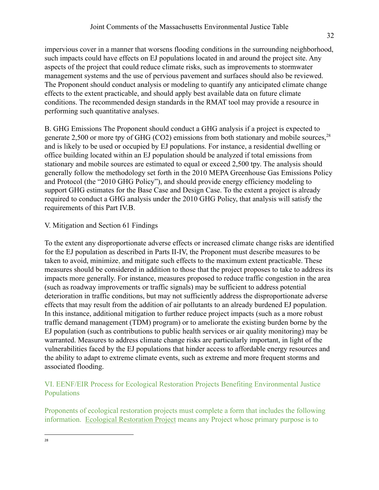impervious cover in a manner that worsens flooding conditions in the surrounding neighborhood, such impacts could have effects on EJ populations located in and around the project site. Any aspects of the project that could reduce climate risks, such as improvements to stormwater management systems and the use of pervious pavement and surfaces should also be reviewed. The Proponent should conduct analysis or modeling to quantify any anticipated climate change effects to the extent practicable, and should apply best available data on future climate conditions. The recommended design standards in the RMAT tool may provide a resource in performing such quantitative analyses.

B. GHG Emissions The Proponent should conduct a GHG analysis if a project is expected to generate 2,500 or more tpy of GHG (CO2) emissions from both stationary and mobile sources.<sup>28</sup> and is likely to be used or occupied by EJ populations. For instance, a residential dwelling or office building located within an EJ population should be analyzed if total emissions from stationary and mobile sources are estimated to equal or exceed 2,500 tpy. The analysis should generally follow the methodology set forth in the 2010 MEPA Greenhouse Gas Emissions Policy and Protocol (the "2010 GHG Policy"), and should provide energy efficiency modeling to support GHG estimates for the Base Case and Design Case. To the extent a project is already required to conduct a GHG analysis under the 2010 GHG Policy, that analysis will satisfy the requirements of this Part IV.B.

## V. Mitigation and Section 61 Findings

To the extent any disproportionate adverse effects or increased climate change risks are identified for the EJ population as described in Parts II-IV, the Proponent must describe measures to be taken to avoid, minimize, and mitigate such effects to the maximum extent practicable. These measures should be considered in addition to those that the project proposes to take to address its impacts more generally. For instance, measures proposed to reduce traffic congestion in the area (such as roadway improvements or traffic signals) may be sufficient to address potential deterioration in traffic conditions, but may not sufficiently address the disproportionate adverse effects that may result from the addition of air pollutants to an already burdened EJ population. In this instance, additional mitigation to further reduce project impacts (such as a more robust traffic demand management (TDM) program) or to ameliorate the existing burden borne by the EJ population (such as contributions to public health services or air quality monitoring) may be warranted. Measures to address climate change risks are particularly important, in light of the vulnerabilities faced by the EJ populations that hinder access to affordable energy resources and the ability to adapt to extreme climate events, such as extreme and more frequent storms and associated flooding.

## VI. EENF/EIR Process for Ecological Restoration Projects Benefiting Environmental Justice Populations

Proponents of ecological restoration projects must complete a form that includes the following information. Ecological Restoration Project means any Project whose primary purpose is to

28